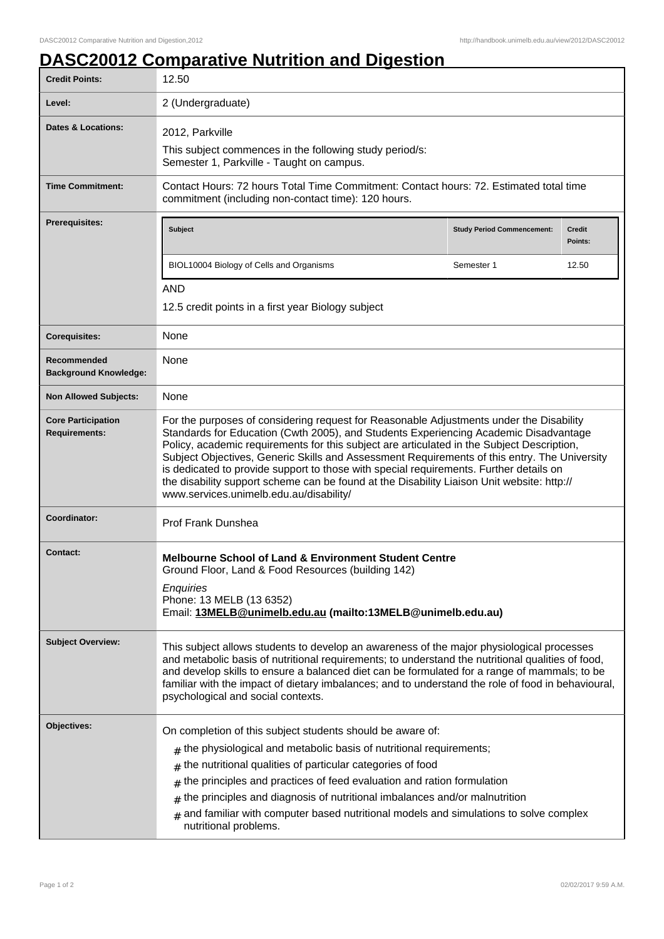## **DASC20012 Comparative Nutrition and Digestion**

| <b>Credit Points:</b>                             | 12.50                                                                                                                                                                                                                                                                                                                                                                                                                                                                                                                                                                                                            |                                   |                          |
|---------------------------------------------------|------------------------------------------------------------------------------------------------------------------------------------------------------------------------------------------------------------------------------------------------------------------------------------------------------------------------------------------------------------------------------------------------------------------------------------------------------------------------------------------------------------------------------------------------------------------------------------------------------------------|-----------------------------------|--------------------------|
| Level:                                            | 2 (Undergraduate)                                                                                                                                                                                                                                                                                                                                                                                                                                                                                                                                                                                                |                                   |                          |
| Dates & Locations:                                | 2012, Parkville<br>This subject commences in the following study period/s:<br>Semester 1, Parkville - Taught on campus.                                                                                                                                                                                                                                                                                                                                                                                                                                                                                          |                                   |                          |
| <b>Time Commitment:</b>                           | Contact Hours: 72 hours Total Time Commitment: Contact hours: 72. Estimated total time<br>commitment (including non-contact time): 120 hours.                                                                                                                                                                                                                                                                                                                                                                                                                                                                    |                                   |                          |
| <b>Prerequisites:</b>                             | <b>Subject</b>                                                                                                                                                                                                                                                                                                                                                                                                                                                                                                                                                                                                   | <b>Study Period Commencement:</b> | <b>Credit</b><br>Points: |
|                                                   | BIOL10004 Biology of Cells and Organisms                                                                                                                                                                                                                                                                                                                                                                                                                                                                                                                                                                         | Semester 1                        | 12.50                    |
|                                                   | <b>AND</b>                                                                                                                                                                                                                                                                                                                                                                                                                                                                                                                                                                                                       |                                   |                          |
|                                                   | 12.5 credit points in a first year Biology subject                                                                                                                                                                                                                                                                                                                                                                                                                                                                                                                                                               |                                   |                          |
| <b>Corequisites:</b>                              | None                                                                                                                                                                                                                                                                                                                                                                                                                                                                                                                                                                                                             |                                   |                          |
| Recommended<br><b>Background Knowledge:</b>       | None                                                                                                                                                                                                                                                                                                                                                                                                                                                                                                                                                                                                             |                                   |                          |
| <b>Non Allowed Subjects:</b>                      | None                                                                                                                                                                                                                                                                                                                                                                                                                                                                                                                                                                                                             |                                   |                          |
| <b>Core Participation</b><br><b>Requirements:</b> | For the purposes of considering request for Reasonable Adjustments under the Disability<br>Standards for Education (Cwth 2005), and Students Experiencing Academic Disadvantage<br>Policy, academic requirements for this subject are articulated in the Subject Description,<br>Subject Objectives, Generic Skills and Assessment Requirements of this entry. The University<br>is dedicated to provide support to those with special requirements. Further details on<br>the disability support scheme can be found at the Disability Liaison Unit website: http://<br>www.services.unimelb.edu.au/disability/ |                                   |                          |
| Coordinator:                                      | <b>Prof Frank Dunshea</b>                                                                                                                                                                                                                                                                                                                                                                                                                                                                                                                                                                                        |                                   |                          |
| <b>Contact:</b>                                   | <b>Melbourne School of Land &amp; Environment Student Centre</b><br>Ground Floor, Land & Food Resources (building 142)<br>Enquiries<br>Phone: 13 MELB (13 6352)<br>Email: 13MELB@unimelb.edu.au (mailto:13MELB@unimelb.edu.au)                                                                                                                                                                                                                                                                                                                                                                                   |                                   |                          |
| <b>Subject Overview:</b>                          | This subject allows students to develop an awareness of the major physiological processes<br>and metabolic basis of nutritional requirements; to understand the nutritional qualities of food,<br>and develop skills to ensure a balanced diet can be formulated for a range of mammals; to be<br>familiar with the impact of dietary imbalances; and to understand the role of food in behavioural,<br>psychological and social contexts.                                                                                                                                                                       |                                   |                          |
| Objectives:                                       | On completion of this subject students should be aware of:<br>the physiological and metabolic basis of nutritional requirements;<br>#<br>the nutritional qualities of particular categories of food<br>$\pm$<br>the principles and practices of feed evaluation and ration formulation<br>$\#$<br>the principles and diagnosis of nutritional imbalances and/or malnutrition<br>#<br>and familiar with computer based nutritional models and simulations to solve complex<br>#<br>nutritional problems.                                                                                                          |                                   |                          |